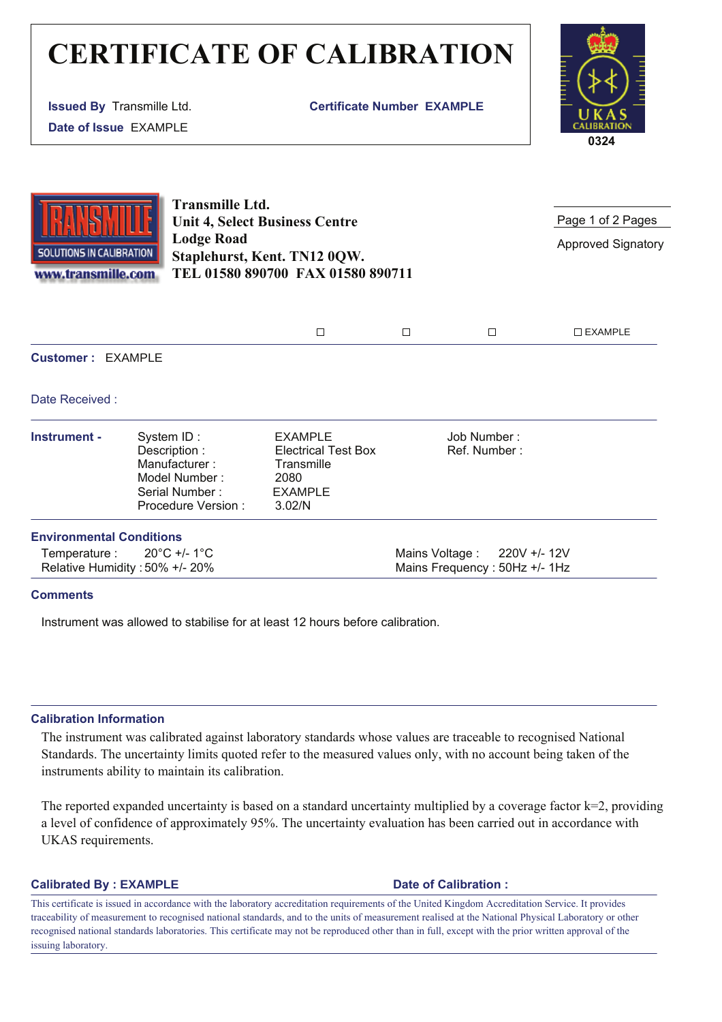# **CERTIFICATE OF CALIBRATION**

**Issued By** Transmille Ltd. **Date of Issue** EXAMPLE

**Certificate Number EXAMPLE**



**SOLUTIONS IN CALIBRATION** www.transmille.com **Transmille Ltd. Unit 4, Select Business Centre Lodge Road Staplehurst, Kent. TN12 0QW. TEL 01580 890700 FAX 01580 890711**

Page 1 of 2 Pages

Approved Signatory

| _ |  | . AMPI |
|---|--|--------|
|   |  |        |

**Customer :** EXAMPLE

Date Received :

| Instrument -                    | System ID:<br>Description :<br>Manufacturer:<br>Model Number:<br>Serial Number:<br>Procedure Version: | <b>EXAMPLE</b><br><b>Electrical Test Box</b><br>Transmille<br>2080<br><b>EXAMPLE</b><br>3.02/N | Job Number:<br>Ref. Number:   |  |
|---------------------------------|-------------------------------------------------------------------------------------------------------|------------------------------------------------------------------------------------------------|-------------------------------|--|
| <b>Environmental Conditions</b> |                                                                                                       |                                                                                                |                               |  |
|                                 | Temperature : $20^{\circ}$ C +/- 1 $^{\circ}$ C                                                       |                                                                                                | Mains Voltage : $220V + 12V$  |  |
|                                 | Relative Humidity: 50% +/- 20%                                                                        |                                                                                                | Mains Frequency: 50Hz +/- 1Hz |  |

### **Comments**

Instrument was allowed to stabilise for at least 12 hours before calibration.

### **Calibration Information**

The instrument was calibrated against laboratory standards whose values are traceable to recognised National Standards. The uncertainty limits quoted refer to the measured values only, with no account being taken of the instruments ability to maintain its calibration.

The reported expanded uncertainty is based on a standard uncertainty multiplied by a coverage factor k=2, providing a level of confidence of approximately 95%. The uncertainty evaluation has been carried out in accordance with UKAS requirements.

### **Calibrated By : EXAMPLE Date of Calibration :**

This certificate is issued in accordance with the laboratory accreditation requirements of the United Kingdom Accreditation Service. It provides traceability of measurement to recognised national standards, and to the units of measurement realised at the National Physical Laboratory or other recognised national standards laboratories. This certificate may not be reproduced other than in full, except with the prior written approval of the issuing laboratory.